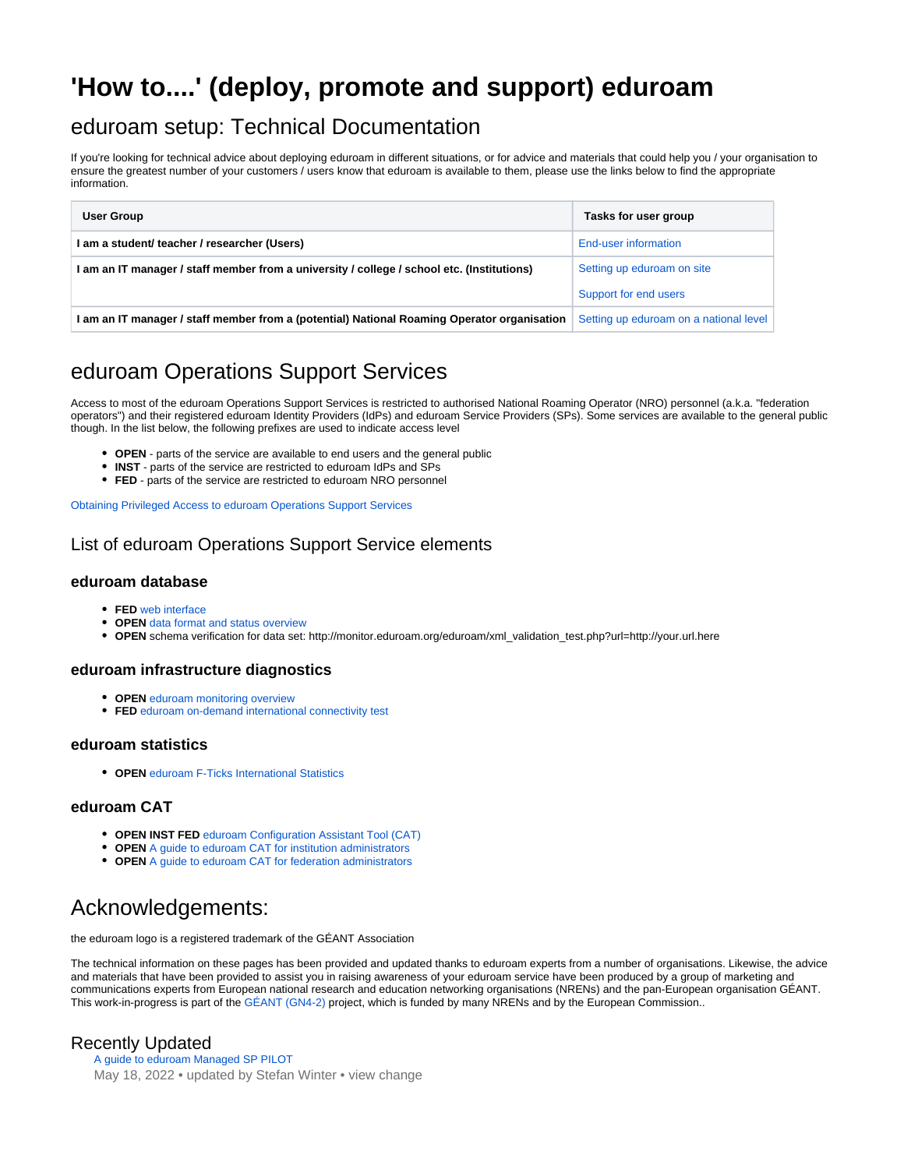# **'How to....' (deploy, promote and support) eduroam**

### eduroam setup: Technical Documentation

If you're looking for technical advice about deploying eduroam in different situations, or for advice and materials that could help you / your organisation to ensure the greatest number of your customers / users know that eduroam is available to them, please use the links below to find the appropriate information.

| User Group                                                                                  | Tasks for user group                   |
|---------------------------------------------------------------------------------------------|----------------------------------------|
| I am a student/ teacher / researcher (Users)                                                | End-user information                   |
| I am an IT manager / staff member from a university / college / school etc. (Institutions)  | Setting up eduroam on site             |
|                                                                                             | Support for end users                  |
| I am an IT manager / staff member from a (potential) National Roaming Operator organisation | Setting up eduroam on a national level |

## eduroam Operations Support Services

Access to most of the eduroam Operations Support Services is restricted to authorised National Roaming Operator (NRO) personnel (a.k.a. "federation operators") and their registered eduroam Identity Providers (IdPs) and eduroam Service Providers (SPs). Some services are available to the general public though. In the list below, the following prefixes are used to indicate access level

- **OPEN** parts of the service are available to end users and the general public
- **INST** parts of the service are restricted to eduroam IdPs and SPs
- **FED** parts of the service are restricted to eduroam NRO personnel

[Obtaining Privileged Access to eduroam Operations Support Services](https://wiki.geant.org/display/H2eduroam/Access+to+eduroam+Operations+Support+Services)

### List of eduroam Operations Support Service elements

#### **eduroam database**

- **FED** [web interface](https://monitor.eduroam.org/db_web/)
- **OPEN** [data format and status overview](https://monitor.eduroam.org/fact_eduroam_db.php)
- **OPEN** schema verification for data set: http://monitor.eduroam.org/eduroam/xml\_validation\_test.php?url=http://your.url.here

#### **eduroam infrastructure diagnostics**

- **OPEN** [eduroam monitoring overview](https://monitor.eduroam.org/)
- **FED** [eduroam on-demand international connectivity test](https://monitor.eduroam.org/inter/test_otm.php)

#### **eduroam statistics**

**OPEN** [eduroam F-Ticks International Statistics](https://monitor.eduroam.org/f-ticks/)

#### **eduroam CAT**

- **OPEN INST FED** [eduroam Configuration Assistant Tool \(CAT\)](https://cat.eduroam.org)
- **OPEN** [A guide to eduroam CAT for institution administrators](https://wiki.geant.org/display/H2eduroam/A+guide+to+eduroam+CAT+for+IdP+administrators)
- **OPEN** [A guide to eduroam CAT for federation administrators](https://wiki.geant.org/display/H2eduroam/A+guide+to+eduroam+CAT+2.0+and+eduroam+Managed+IdP+for+National+Roaming+Operator+administrators)

## Acknowledgements:

the eduroam logo is a registered trademark of the GÉANT Association

The technical information on these pages has been provided and updated thanks to eduroam experts from a number of organisations. Likewise, the advice and materials that have been provided to assist you in raising awareness of your eduroam service have been produced by a group of marketing and communications experts from European national research and education networking organisations (NRENs) and the pan-European organisation GÉANT. This work-in-progress is part of the [GÉANT \(GN4-2\)](http://www.geant.org) project, which is funded by many NRENs and by the European Commission..

### Recently Updated

[A guide to eduroam Managed SP PILOT](https://wiki.geant.org/display/H2eduroam/A+guide+to+eduroam+Managed+SP+PILOT) May 18, 2022 • updated by [Stefan Winter](https://wiki.geant.org/display/~federated-user-3347) • [view change](https://wiki.geant.org/pages/diffpagesbyversion.action?pageId=166297702&selectedPageVersions=6&selectedPageVersions=5)